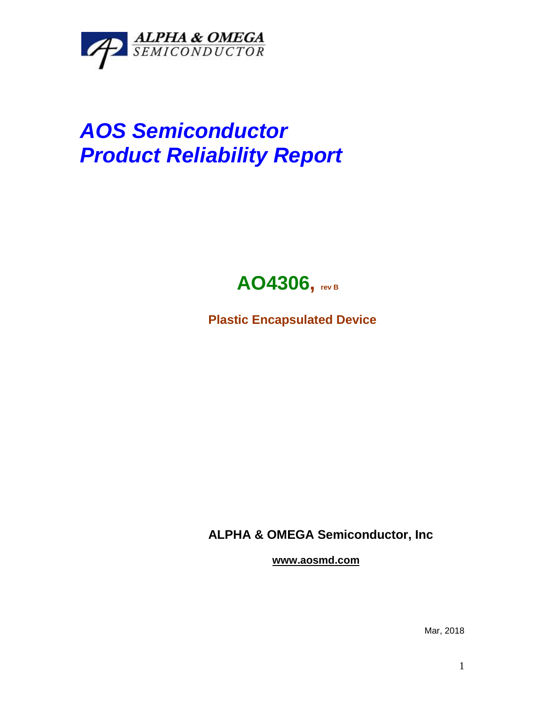

## *AOS Semiconductor Product Reliability Report*



**Plastic Encapsulated Device**

**ALPHA & OMEGA Semiconductor, Inc**

**www.aosmd.com**

Mar, 2018